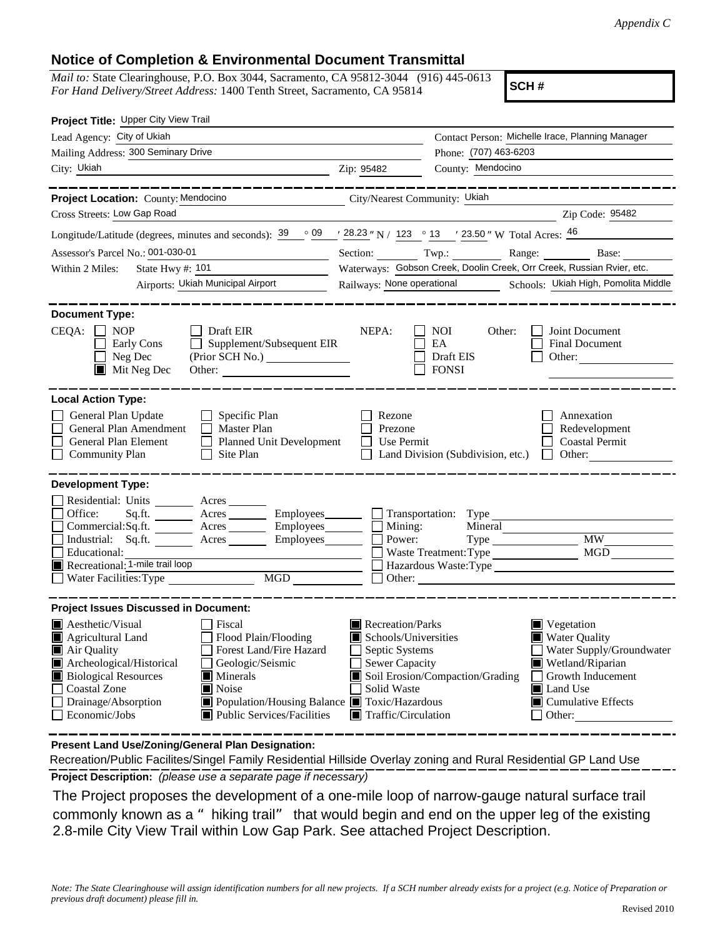#### **Notice of Completion & Environmental Document Transmittal**

*Mail to:* State Clearinghouse, P.O. Box 3044, Sacramento, CA 95812-3044 (916) 445-0613 *For Hand Delivery/Street Address:* 1400 Tenth Street, Sacramento, CA 95814

**SCH #**

| Project Title: Upper City View Trail                                                                                                                                                                                                                                                                                                                                                                                 |                                                                                                                    |                                                                                                                                                                                                                                     |
|----------------------------------------------------------------------------------------------------------------------------------------------------------------------------------------------------------------------------------------------------------------------------------------------------------------------------------------------------------------------------------------------------------------------|--------------------------------------------------------------------------------------------------------------------|-------------------------------------------------------------------------------------------------------------------------------------------------------------------------------------------------------------------------------------|
| Lead Agency: City of Ukiah                                                                                                                                                                                                                                                                                                                                                                                           |                                                                                                                    | Contact Person: Michelle Irace, Planning Manager                                                                                                                                                                                    |
| Mailing Address: 300 Seminary Drive                                                                                                                                                                                                                                                                                                                                                                                  |                                                                                                                    | Phone: (707) 463-6203                                                                                                                                                                                                               |
| City: Ukiah                                                                                                                                                                                                                                                                                                                                                                                                          | Zip: 95482                                                                                                         | County: Mendocino                                                                                                                                                                                                                   |
|                                                                                                                                                                                                                                                                                                                                                                                                                      |                                                                                                                    |                                                                                                                                                                                                                                     |
| Project Location: County: Mendocino<br>City/Nearest Community: Ukiah                                                                                                                                                                                                                                                                                                                                                 |                                                                                                                    |                                                                                                                                                                                                                                     |
| Cross Streets: Low Gap Road                                                                                                                                                                                                                                                                                                                                                                                          |                                                                                                                    | Zip Code: 95482                                                                                                                                                                                                                     |
| Longitude/Latitude (degrees, minutes and seconds): $39 \degree$ 09 $\degree$ 28.23 " N / 123 $\degree$ 13 $\degree$ 23.50 " W Total Acres: $46$                                                                                                                                                                                                                                                                      |                                                                                                                    |                                                                                                                                                                                                                                     |
| Assessor's Parcel No.: 001-030-01                                                                                                                                                                                                                                                                                                                                                                                    |                                                                                                                    | Section: Twp.: Range: Base: Base:                                                                                                                                                                                                   |
| Within 2 Miles:                                                                                                                                                                                                                                                                                                                                                                                                      |                                                                                                                    | Waterways: Gobson Creek, Doolin Creek, Orr Creek, Russian Rvier, etc.                                                                                                                                                               |
| Airports: Ukiah Municipal Airport                                                                                                                                                                                                                                                                                                                                                                                    |                                                                                                                    | Railways: None operational Schools: Ukiah High, Pomolita Middle                                                                                                                                                                     |
| <b>Document Type:</b><br>$CEQA: \Box NP$<br>Draft EIR<br>$\Box$ Supplement/Subsequent EIR<br>Early Cons<br>Neg Dec<br>(Prior SCH No.) ________________<br>$\blacksquare$ Mit Neg Dec                                                                                                                                                                                                                                 | NEPA:                                                                                                              | NOI<br>Other:<br>Joint Document<br>EA<br><b>Final Document</b><br>Draft EIS<br>Other:<br><b>FONSI</b>                                                                                                                               |
| <b>Local Action Type:</b>                                                                                                                                                                                                                                                                                                                                                                                            |                                                                                                                    |                                                                                                                                                                                                                                     |
| General Plan Update<br>$\Box$ Specific Plan<br>General Plan Amendment<br>$\Box$ Master Plan<br>Planned Unit Development<br>General Plan Element<br>$\Box$ Site Plan<br><b>Community Plan</b>                                                                                                                                                                                                                         | Rezone<br>Prezone<br>    Use Permit                                                                                | Annexation<br>Redevelopment<br><b>Coastal Permit</b><br>Land Division (Subdivision, etc.) $\Box$ Other:                                                                                                                             |
| <b>Development Type:</b><br>Residential: Units ________ Acres _____<br>Office:<br>Sq.ft. ________ Acres _________ Employees________ __ Transportation: Type<br>Commercial:Sq.ft. <u>Acres</u> Acres Employees<br>Industrial: Sq.ft. Acres Employees<br>Educational:<br>Recreational: 1-mile trail loop<br>MGD<br><br>Water Facilities: Type                                                                          | $\Box$ Mining:<br>Power:                                                                                           | Mineral<br><b>MW</b><br>MGD<br>Waste Treatment: Type<br>Hazardous Waste: Type<br>$\Box$ Other:                                                                                                                                      |
| <b>Project Issues Discussed in Document:</b>                                                                                                                                                                                                                                                                                                                                                                         |                                                                                                                    |                                                                                                                                                                                                                                     |
| <b>A</b> esthetic/Visual<br>$\Box$ Fiscal<br>Agricultural Land<br>Flood Plain/Flooding<br>Forest Land/Fire Hazard<br>Air Quality<br>Archeological/Historical<br>Geologic/Seismic<br><b>Biological Resources</b><br>$\blacksquare$ Minerals<br><b>Coastal Zone</b><br>Noise<br>Drainage/Absorption<br>Population/Housing Balance Toxic/Hazardous<br>$\Box$ Economic/Jobs<br>$\blacksquare$ Public Services/Facilities | Recreation/Parks<br>Schools/Universities<br>Septic Systems<br>Sewer Capacity<br>Solid Waste<br>Traffic/Circulation | $\blacksquare$ Vegetation<br><b>Water Quality</b><br>Water Supply/Groundwater<br>Wetland/Riparian<br>Soil Erosion/Compaction/Grading<br>$\Box$ Growth Inducement<br><b>■</b> Land Use<br>$\Box$ Cumulative Effects<br>$\Box$ Other: |

**Present Land Use/Zoning/General Plan Designation:**

**Project Description:** *(please use a separate page if necessary)* Recreation/Public Facilites/Singel Family Residential Hillside Overlay zoning and Rural Residential GP Land Use

 The Project proposes the development of a one-mile loop of narrow-gauge natural surface trail commonly known as a "hiking trail" that would begin and end on the upper leg of the existing 2.8-mile City View Trail within Low Gap Park. See attached Project Description.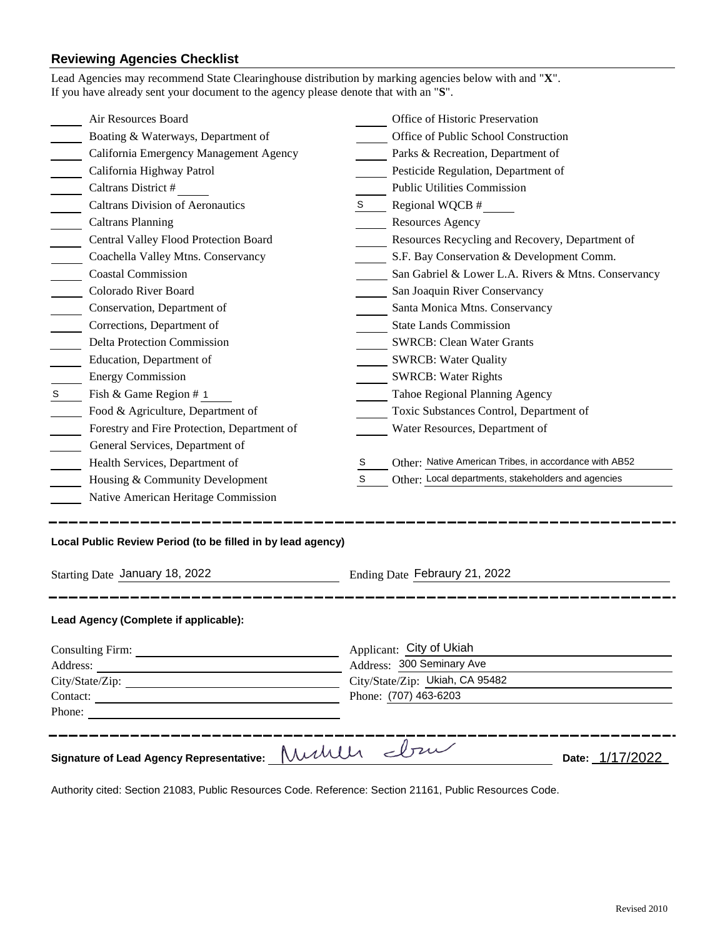## **Reviewing Agencies Checklist**

| Air Resources Board                                                                           |   | Office of Historic Preservation                          |  |
|-----------------------------------------------------------------------------------------------|---|----------------------------------------------------------|--|
| Boating & Waterways, Department of                                                            |   | Office of Public School Construction                     |  |
| California Emergency Management Agency                                                        |   | Parks & Recreation, Department of                        |  |
| California Highway Patrol                                                                     |   | Pesticide Regulation, Department of                      |  |
| Caltrans District #                                                                           |   | <b>Public Utilities Commission</b>                       |  |
| <b>Caltrans Division of Aeronautics</b>                                                       | S | Regional WQCB #                                          |  |
| <b>Caltrans Planning</b>                                                                      |   | <b>Resources Agency</b>                                  |  |
| Central Valley Flood Protection Board                                                         |   | Resources Recycling and Recovery, Department of          |  |
| Coachella Valley Mtns. Conservancy                                                            |   | S.F. Bay Conservation & Development Comm.                |  |
| <b>Coastal Commission</b>                                                                     |   | San Gabriel & Lower L.A. Rivers & Mtns. Conservancy      |  |
| Colorado River Board                                                                          |   | San Joaquin River Conservancy                            |  |
| Conservation, Department of                                                                   |   | Santa Monica Mtns. Conservancy                           |  |
| Corrections, Department of                                                                    |   | <b>State Lands Commission</b>                            |  |
| <b>Delta Protection Commission</b>                                                            |   | <b>SWRCB: Clean Water Grants</b>                         |  |
| Education, Department of                                                                      |   | <b>SWRCB: Water Quality</b>                              |  |
| <b>Energy Commission</b>                                                                      |   | <b>SWRCB: Water Rights</b>                               |  |
| Fish & Game Region # 1<br>S                                                                   |   | Tahoe Regional Planning Agency                           |  |
| Food & Agriculture, Department of                                                             |   | Toxic Substances Control, Department of                  |  |
| Forestry and Fire Protection, Department of                                                   |   | Water Resources, Department of                           |  |
| General Services, Department of                                                               |   |                                                          |  |
| Health Services, Department of                                                                | S | Other: Native American Tribes, in accordance with AB52   |  |
| Housing & Community Development                                                               | S | Other: Local departments, stakeholders and agencies      |  |
| Native American Heritage Commission                                                           |   |                                                          |  |
| Local Public Review Period (to be filled in by lead agency)<br>Starting Date January 18, 2022 |   | Ending Date Febraury 21, 2022                            |  |
| Lead Agency (Complete if applicable):                                                         |   |                                                          |  |
|                                                                                               |   | Applicant: City of Ukiah                                 |  |
|                                                                                               |   | Address: 300 Seminary Ave                                |  |
|                                                                                               |   | City/State/Zip: Ukiah, CA 95482<br>Phone: (707) 463-6203 |  |
|                                                                                               |   |                                                          |  |
| Phone:                                                                                        |   |                                                          |  |
|                                                                                               |   | _______                                                  |  |

Authority cited: Section 21083, Public Resources Code. Reference: Section 21161, Public Resources Code.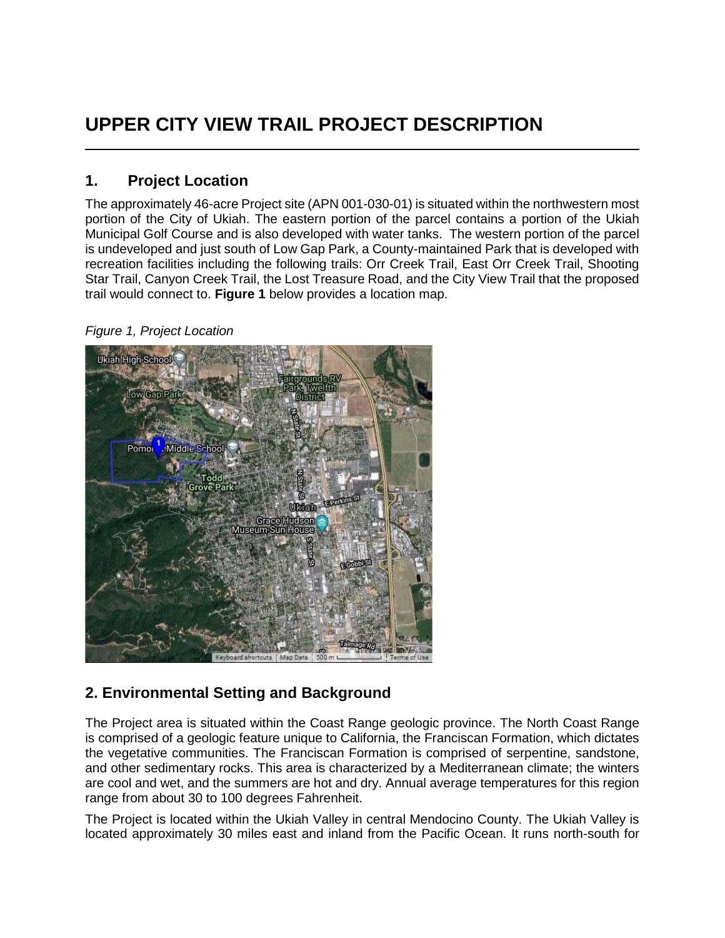# **UPPER CITY VIEW TRAIL PROJECT DESCRIPTION**

## **1. Project Location**

The approximately 46-acre Project site (APN 001-030-01) is situated within the northwestern most portion of the City of Ukiah. The eastern portion of the parcel contains a portion of the Ukiah Municipal Golf Course and is also developed with water tanks. The western portion of the parcel is undeveloped and just south of Low Gap Park, a County-maintained Park that is developed with recreation facilities including the following trails: Orr Creek Trail, East Orr Creek Trail, Shooting Star Trail, Canyon Creek Trail, the Lost Treasure Road, and the City View Trail that the proposed trail would connect to. **Figure 1** below provides a location map.

#### *Figure 1, Project Location*



# **2. Environmental Setting and Background**

The Project area is situated within the Coast Range geologic province. The North Coast Range is comprised of a geologic feature unique to California, the Franciscan Formation, which dictates the vegetative communities. The Franciscan Formation is comprised of serpentine, sandstone, and other sedimentary rocks. This area is characterized by a Mediterranean climate; the winters are cool and wet, and the summers are hot and dry. Annual average temperatures for this region range from about 30 to 100 degrees Fahrenheit.

The Project is located within the Ukiah Valley in central Mendocino County. The Ukiah Valley is located approximately 30 miles east and inland from the Pacific Ocean. It runs north-south for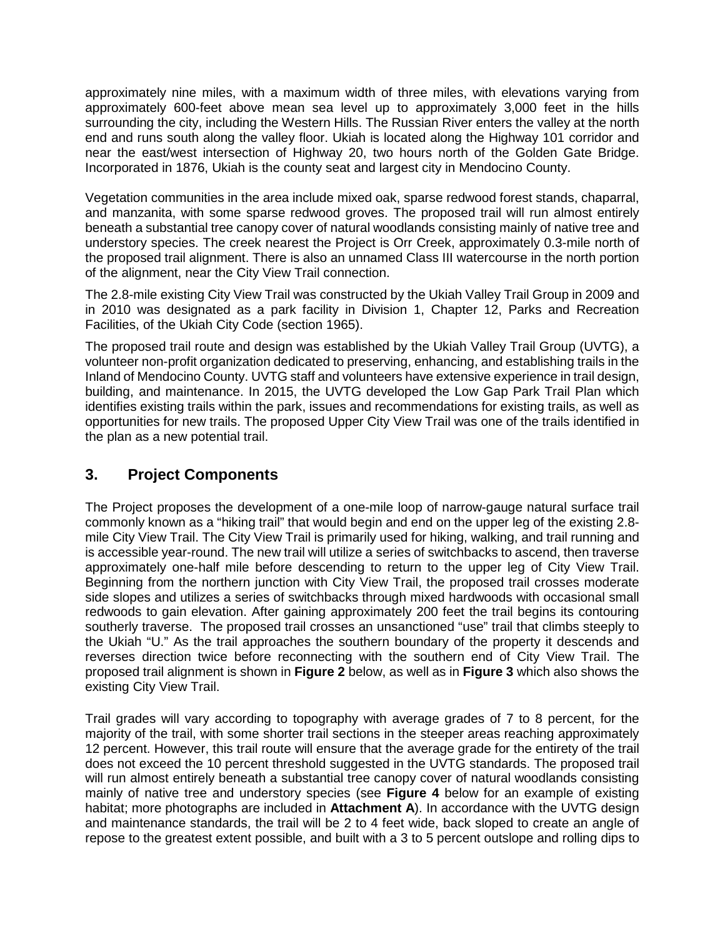approximately nine miles, with a maximum width of three miles, with elevations varying from approximately 600-feet above mean sea level up to approximately 3,000 feet in the hills surrounding the city, including the Western Hills. The Russian River enters the valley at the north end and runs south along the valley floor. Ukiah is located along the Highway 101 corridor and near the east/west intersection of Highway 20, two hours north of the Golden Gate Bridge. Incorporated in 1876, Ukiah is the county seat and largest city in Mendocino County.

Vegetation communities in the area include mixed oak, sparse redwood forest stands, chaparral, and manzanita, with some sparse redwood groves. The proposed trail will run almost entirely beneath a substantial tree canopy cover of natural woodlands consisting mainly of native tree and understory species. The creek nearest the Project is Orr Creek, approximately 0.3-mile north of the proposed trail alignment. There is also an unnamed Class III watercourse in the north portion of the alignment, near the City View Trail connection.

The 2.8-mile existing City View Trail was constructed by the Ukiah Valley Trail Group in 2009 and in 2010 was designated as a park facility in Division 1, Chapter 12, Parks and Recreation Facilities, of the Ukiah City Code (section 1965).

The proposed trail route and design was established by the Ukiah Valley Trail Group (UVTG), a volunteer non-profit organization dedicated to preserving, enhancing, and establishing trails in the Inland of Mendocino County. UVTG staff and volunteers have extensive experience in trail design, building, and maintenance. In 2015, the UVTG developed the Low Gap Park Trail Plan which identifies existing trails within the park, issues and recommendations for existing trails, as well as opportunities for new trails. The proposed Upper City View Trail was one of the trails identified in the plan as a new potential trail.

# **3. Project Components**

The Project proposes the development of a one-mile loop of narrow-gauge natural surface trail commonly known as a "hiking trail" that would begin and end on the upper leg of the existing 2.8 mile City View Trail. The City View Trail is primarily used for hiking, walking, and trail running and is accessible year-round. The new trail will utilize a series of switchbacks to ascend, then traverse approximately one-half mile before descending to return to the upper leg of City View Trail. Beginning from the northern junction with City View Trail, the proposed trail crosses moderate side slopes and utilizes a series of switchbacks through mixed hardwoods with occasional small redwoods to gain elevation. After gaining approximately 200 feet the trail begins its contouring southerly traverse. The proposed trail crosses an unsanctioned "use" trail that climbs steeply to the Ukiah "U." As the trail approaches the southern boundary of the property it descends and reverses direction twice before reconnecting with the southern end of City View Trail. The proposed trail alignment is shown in **Figure 2** below, as well as in **Figure 3** which also shows the existing City View Trail.

Trail grades will vary according to topography with average grades of 7 to 8 percent, for the majority of the trail, with some shorter trail sections in the steeper areas reaching approximately 12 percent. However, this trail route will ensure that the average grade for the entirety of the trail does not exceed the 10 percent threshold suggested in the UVTG standards. The proposed trail will run almost entirely beneath a substantial tree canopy cover of natural woodlands consisting mainly of native tree and understory species (see **Figure 4** below for an example of existing habitat; more photographs are included in **Attachment A**). In accordance with the UVTG design and maintenance standards, the trail will be 2 to 4 feet wide, back sloped to create an angle of repose to the greatest extent possible, and built with a 3 to 5 percent outslope and rolling dips to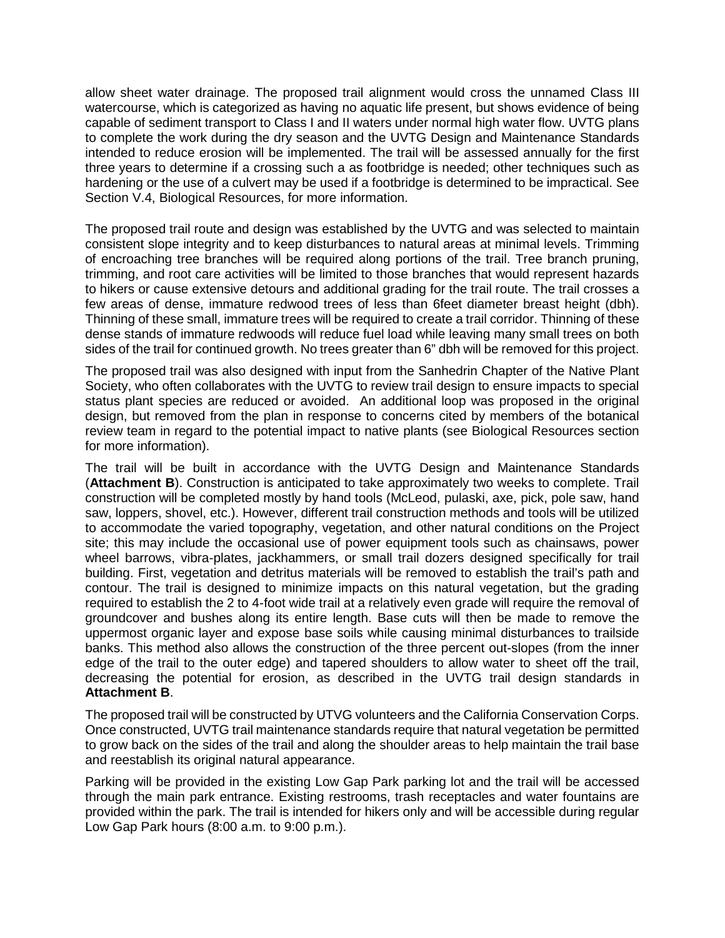allow sheet water drainage. The proposed trail alignment would cross the unnamed Class III watercourse, which is categorized as having no aquatic life present, but shows evidence of being capable of sediment transport to Class I and II waters under normal high water flow. UVTG plans to complete the work during the dry season and the UVTG Design and Maintenance Standards intended to reduce erosion will be implemented. The trail will be assessed annually for the first three years to determine if a crossing such a as footbridge is needed; other techniques such as hardening or the use of a culvert may be used if a footbridge is determined to be impractical. See Section V.4, Biological Resources, for more information.

The proposed trail route and design was established by the UVTG and was selected to maintain consistent slope integrity and to keep disturbances to natural areas at minimal levels. Trimming of encroaching tree branches will be required along portions of the trail. Tree branch pruning, trimming, and root care activities will be limited to those branches that would represent hazards to hikers or cause extensive detours and additional grading for the trail route. The trail crosses a few areas of dense, immature redwood trees of less than 6feet diameter breast height (dbh). Thinning of these small, immature trees will be required to create a trail corridor. Thinning of these dense stands of immature redwoods will reduce fuel load while leaving many small trees on both sides of the trail for continued growth. No trees greater than 6" dbh will be removed for this project.

The proposed trail was also designed with input from the Sanhedrin Chapter of the Native Plant Society, who often collaborates with the UVTG to review trail design to ensure impacts to special status plant species are reduced or avoided. An additional loop was proposed in the original design, but removed from the plan in response to concerns cited by members of the botanical review team in regard to the potential impact to native plants (see Biological Resources section for more information).

The trail will be built in accordance with the UVTG Design and Maintenance Standards (**Attachment B**). Construction is anticipated to take approximately two weeks to complete. Trail construction will be completed mostly by hand tools (McLeod, pulaski, axe, pick, pole saw, hand saw, loppers, shovel, etc.). However, different trail construction methods and tools will be utilized to accommodate the varied topography, vegetation, and other natural conditions on the Project site; this may include the occasional use of power equipment tools such as chainsaws, power wheel barrows, vibra-plates, jackhammers, or small trail dozers designed specifically for trail building. First, vegetation and detritus materials will be removed to establish the trail's path and contour. The trail is designed to minimize impacts on this natural vegetation, but the grading required to establish the 2 to 4-foot wide trail at a relatively even grade will require the removal of groundcover and bushes along its entire length. Base cuts will then be made to remove the uppermost organic layer and expose base soils while causing minimal disturbances to trailside banks. This method also allows the construction of the three percent out-slopes (from the inner edge of the trail to the outer edge) and tapered shoulders to allow water to sheet off the trail, decreasing the potential for erosion, as described in the UVTG trail design standards in **Attachment B**.

The proposed trail will be constructed by UTVG volunteers and the California Conservation Corps. Once constructed, UVTG trail maintenance standards require that natural vegetation be permitted to grow back on the sides of the trail and along the shoulder areas to help maintain the trail base and reestablish its original natural appearance.

Parking will be provided in the existing Low Gap Park parking lot and the trail will be accessed through the main park entrance. Existing restrooms, trash receptacles and water fountains are provided within the park. The trail is intended for hikers only and will be accessible during regular Low Gap Park hours (8:00 a.m. to 9:00 p.m.).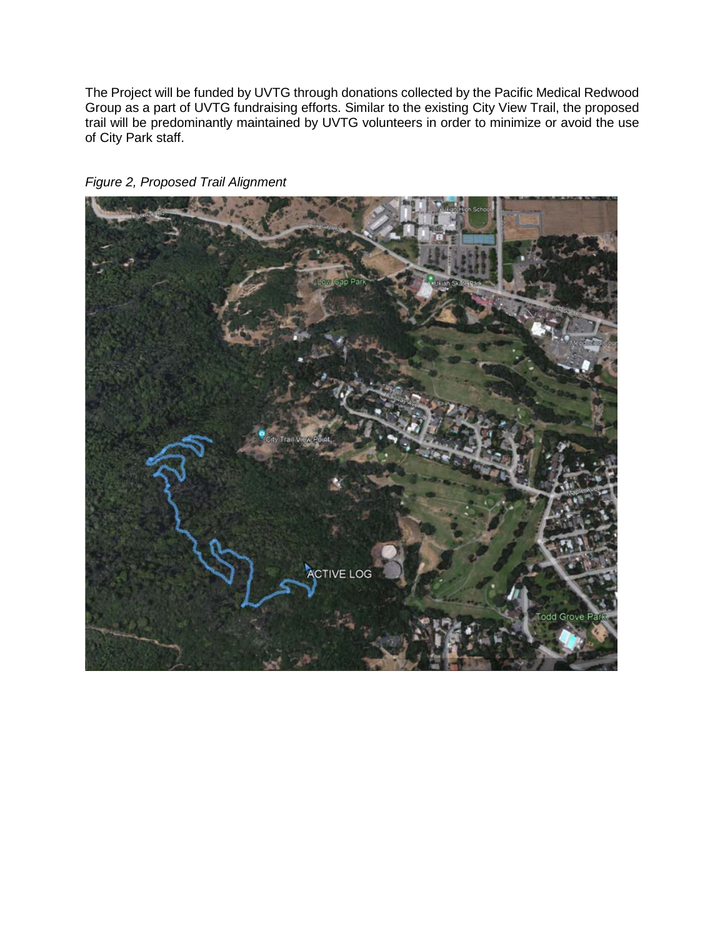The Project will be funded by UVTG through donations collected by the Pacific Medical Redwood Group as a part of UVTG fundraising efforts. Similar to the existing City View Trail, the proposed trail will be predominantly maintained by UVTG volunteers in order to minimize or avoid the use of City Park staff.



*Figure 2, Proposed Trail Alignment*